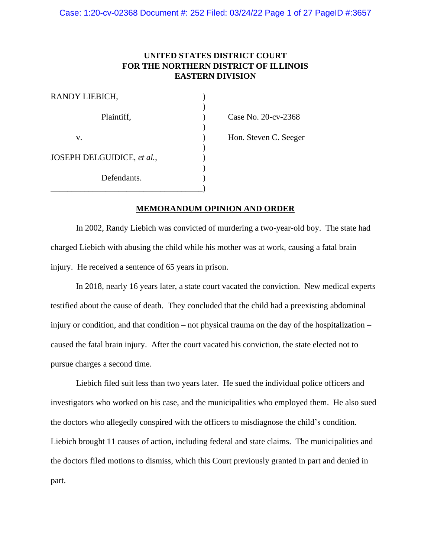# **UNITED STATES DISTRICT COURT FOR THE NORTHERN DISTRICT OF ILLINOIS EASTERN DIVISION**

| RANDY LIEBICH,             |  |
|----------------------------|--|
| Plaintiff,                 |  |
| V.                         |  |
| JOSEPH DELGUIDICE, et al., |  |
| Defendants.                |  |
|                            |  |

Case No. 20-cv-2368 Hon. Steven C. Seeger

# **MEMORANDUM OPINION AND ORDER**

In 2002, Randy Liebich was convicted of murdering a two-year-old boy. The state had charged Liebich with abusing the child while his mother was at work, causing a fatal brain injury. He received a sentence of 65 years in prison.

In 2018, nearly 16 years later, a state court vacated the conviction. New medical experts testified about the cause of death. They concluded that the child had a preexisting abdominal injury or condition, and that condition – not physical trauma on the day of the hospitalization – caused the fatal brain injury. After the court vacated his conviction, the state elected not to pursue charges a second time.

Liebich filed suit less than two years later. He sued the individual police officers and investigators who worked on his case, and the municipalities who employed them. He also sued the doctors who allegedly conspired with the officers to misdiagnose the child's condition. Liebich brought 11 causes of action, including federal and state claims. The municipalities and the doctors filed motions to dismiss, which this Court previously granted in part and denied in part.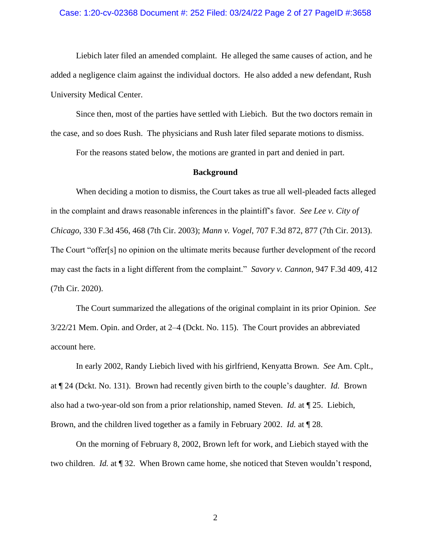#### Case: 1:20-cv-02368 Document #: 252 Filed: 03/24/22 Page 2 of 27 PageID #:3658

Liebich later filed an amended complaint. He alleged the same causes of action, and he added a negligence claim against the individual doctors. He also added a new defendant, Rush University Medical Center.

Since then, most of the parties have settled with Liebich. But the two doctors remain in the case, and so does Rush. The physicians and Rush later filed separate motions to dismiss.

For the reasons stated below, the motions are granted in part and denied in part.

### **Background**

When deciding a motion to dismiss, the Court takes as true all well-pleaded facts alleged in the complaint and draws reasonable inferences in the plaintiff's favor. *See Lee v. City of Chicago*, 330 F.3d 456, 468 (7th Cir. 2003); *Mann v. Vogel*, 707 F.3d 872, 877 (7th Cir. 2013). The Court "offer[s] no opinion on the ultimate merits because further development of the record may cast the facts in a light different from the complaint." *Savory v. Cannon*, 947 F.3d 409, 412 (7th Cir. 2020).

The Court summarized the allegations of the original complaint in its prior Opinion. *See* 3/22/21 Mem. Opin. and Order, at 2–4 (Dckt. No. 115). The Court provides an abbreviated account here.

In early 2002, Randy Liebich lived with his girlfriend, Kenyatta Brown. *See* Am. Cplt., at ¶ 24 (Dckt. No. 131). Brown had recently given birth to the couple's daughter. *Id.* Brown also had a two-year-old son from a prior relationship, named Steven. *Id.* at ¶ 25. Liebich, Brown, and the children lived together as a family in February 2002. *Id.* at ¶ 28.

On the morning of February 8, 2002, Brown left for work, and Liebich stayed with the two children. *Id.* at ¶ 32. When Brown came home, she noticed that Steven wouldn't respond,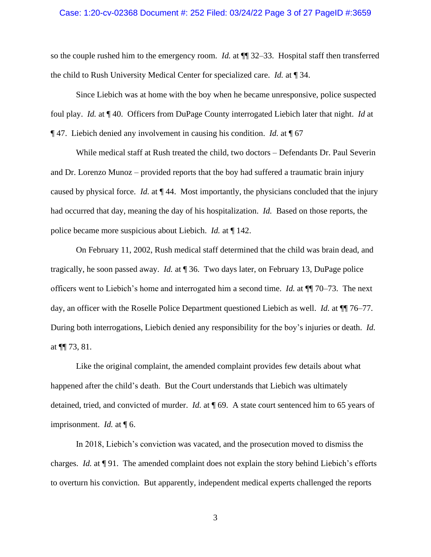### Case: 1:20-cv-02368 Document #: 252 Filed: 03/24/22 Page 3 of 27 PageID #:3659

so the couple rushed him to the emergency room. *Id.* at ¶¶ 32–33. Hospital staff then transferred the child to Rush University Medical Center for specialized care. *Id.* at ¶ 34.

Since Liebich was at home with the boy when he became unresponsive, police suspected foul play. *Id.* at ¶ 40. Officers from DuPage County interrogated Liebich later that night. *Id* at ¶ 47. Liebich denied any involvement in causing his condition. *Id.* at ¶ 67

While medical staff at Rush treated the child, two doctors – Defendants Dr. Paul Severin and Dr. Lorenzo Munoz – provided reports that the boy had suffered a traumatic brain injury caused by physical force. *Id.* at ¶ 44. Most importantly, the physicians concluded that the injury had occurred that day, meaning the day of his hospitalization. *Id.* Based on those reports, the police became more suspicious about Liebich. *Id.* at ¶ 142.

On February 11, 2002, Rush medical staff determined that the child was brain dead, and tragically, he soon passed away. *Id.* at ¶ 36. Two days later, on February 13, DuPage police officers went to Liebich's home and interrogated him a second time. *Id.* at ¶¶ 70–73. The next day, an officer with the Roselle Police Department questioned Liebich as well. *Id.* at ¶¶ 76–77. During both interrogations, Liebich denied any responsibility for the boy's injuries or death. *Id.* at ¶¶ 73, 81.

Like the original complaint, the amended complaint provides few details about what happened after the child's death. But the Court understands that Liebich was ultimately detained, tried, and convicted of murder. *Id.* at ¶ 69. A state court sentenced him to 65 years of imprisonment. *Id.* at ¶ 6.

In 2018, Liebich's conviction was vacated, and the prosecution moved to dismiss the charges. *Id.* at  $\P$  91. The amended complaint does not explain the story behind Liebich's efforts to overturn his conviction. But apparently, independent medical experts challenged the reports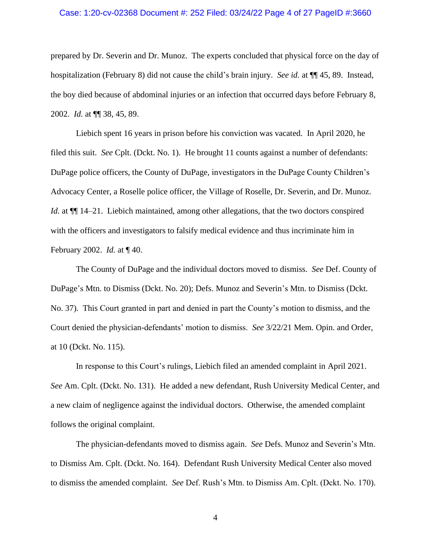### Case: 1:20-cv-02368 Document #: 252 Filed: 03/24/22 Page 4 of 27 PageID #:3660

prepared by Dr. Severin and Dr. Munoz. The experts concluded that physical force on the day of hospitalization (February 8) did not cause the child's brain injury. *See id.* at ¶¶ 45, 89. Instead, the boy died because of abdominal injuries or an infection that occurred days before February 8, 2002. *Id.* at ¶¶ 38, 45, 89.

Liebich spent 16 years in prison before his conviction was vacated. In April 2020, he filed this suit. *See* Cplt. (Dckt. No. 1). He brought 11 counts against a number of defendants: DuPage police officers, the County of DuPage, investigators in the DuPage County Children's Advocacy Center, a Roselle police officer, the Village of Roselle, Dr. Severin, and Dr. Munoz. *Id.* at  $\P$ [14–21. Liebich maintained, among other allegations, that the two doctors conspired with the officers and investigators to falsify medical evidence and thus incriminate him in February 2002. *Id.* at ¶ 40.

The County of DuPage and the individual doctors moved to dismiss. *See* Def. County of DuPage's Mtn. to Dismiss (Dckt. No. 20); Defs. Munoz and Severin's Mtn. to Dismiss (Dckt. No. 37). This Court granted in part and denied in part the County's motion to dismiss, and the Court denied the physician-defendants' motion to dismiss. *See* 3/22/21 Mem. Opin. and Order, at 10 (Dckt. No. 115).

In response to this Court's rulings, Liebich filed an amended complaint in April 2021. *See* Am. Cplt. (Dckt. No. 131). He added a new defendant, Rush University Medical Center, and a new claim of negligence against the individual doctors. Otherwise, the amended complaint follows the original complaint.

The physician-defendants moved to dismiss again. *See* Defs. Munoz and Severin's Mtn. to Dismiss Am. Cplt. (Dckt. No. 164). Defendant Rush University Medical Center also moved to dismiss the amended complaint. *See* Def. Rush's Mtn. to Dismiss Am. Cplt. (Dckt. No. 170).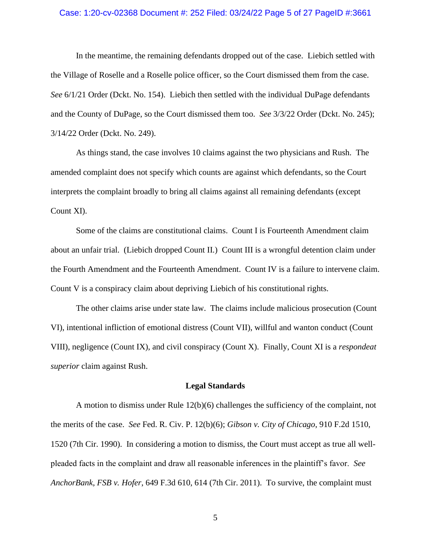## Case: 1:20-cv-02368 Document #: 252 Filed: 03/24/22 Page 5 of 27 PageID #:3661

In the meantime, the remaining defendants dropped out of the case. Liebich settled with the Village of Roselle and a Roselle police officer, so the Court dismissed them from the case. *See* 6/1/21 Order (Dckt. No. 154). Liebich then settled with the individual DuPage defendants and the County of DuPage, so the Court dismissed them too. *See* 3/3/22 Order (Dckt. No. 245); 3/14/22 Order (Dckt. No. 249).

As things stand, the case involves 10 claims against the two physicians and Rush. The amended complaint does not specify which counts are against which defendants, so the Court interprets the complaint broadly to bring all claims against all remaining defendants (except Count XI).

Some of the claims are constitutional claims. Count I is Fourteenth Amendment claim about an unfair trial. (Liebich dropped Count II.) Count III is a wrongful detention claim under the Fourth Amendment and the Fourteenth Amendment. Count IV is a failure to intervene claim. Count V is a conspiracy claim about depriving Liebich of his constitutional rights.

The other claims arise under state law. The claims include malicious prosecution (Count VI), intentional infliction of emotional distress (Count VII), willful and wanton conduct (Count VIII), negligence (Count IX), and civil conspiracy (Count X). Finally, Count XI is a *respondeat superior* claim against Rush.

## **Legal Standards**

A motion to dismiss under Rule 12(b)(6) challenges the sufficiency of the complaint, not the merits of the case. *See* Fed. R. Civ. P. 12(b)(6); *Gibson v. City of Chicago*, 910 F.2d 1510, 1520 (7th Cir. 1990). In considering a motion to dismiss, the Court must accept as true all wellpleaded facts in the complaint and draw all reasonable inferences in the plaintiff's favor. *See AnchorBank, FSB v. Hofer*, 649 F.3d 610, 614 (7th Cir. 2011). To survive, the complaint must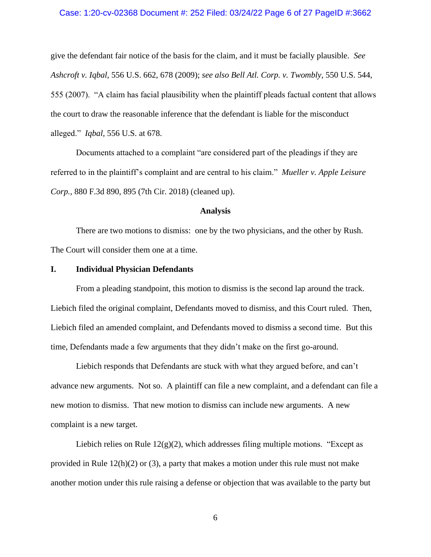### Case: 1:20-cv-02368 Document #: 252 Filed: 03/24/22 Page 6 of 27 PageID #:3662

give the defendant fair notice of the basis for the claim, and it must be facially plausible. *See Ashcroft v. Iqbal*, 556 U.S. 662, 678 (2009); *see also Bell Atl. Corp. v. Twombly*, 550 U.S. 544, 555 (2007). "A claim has facial plausibility when the plaintiff pleads factual content that allows the court to draw the reasonable inference that the defendant is liable for the misconduct alleged." *Iqbal*, 556 U.S. at 678.

Documents attached to a complaint "are considered part of the pleadings if they are referred to in the plaintiff's complaint and are central to his claim." *Mueller v. Apple Leisure Corp.*, 880 F.3d 890, 895 (7th Cir. 2018) (cleaned up).

#### **Analysis**

There are two motions to dismiss: one by the two physicians, and the other by Rush. The Court will consider them one at a time.

### **I. Individual Physician Defendants**

From a pleading standpoint, this motion to dismiss is the second lap around the track. Liebich filed the original complaint, Defendants moved to dismiss, and this Court ruled. Then, Liebich filed an amended complaint, and Defendants moved to dismiss a second time. But this time, Defendants made a few arguments that they didn't make on the first go-around.

Liebich responds that Defendants are stuck with what they argued before, and can't advance new arguments. Not so. A plaintiff can file a new complaint, and a defendant can file a new motion to dismiss. That new motion to dismiss can include new arguments. A new complaint is a new target.

Liebich relies on Rule  $12(g)(2)$ , which addresses filing multiple motions. "Except as provided in Rule 12(h)(2) or (3), a party that makes a motion under this rule must not make another motion under this rule raising a defense or objection that was available to the party but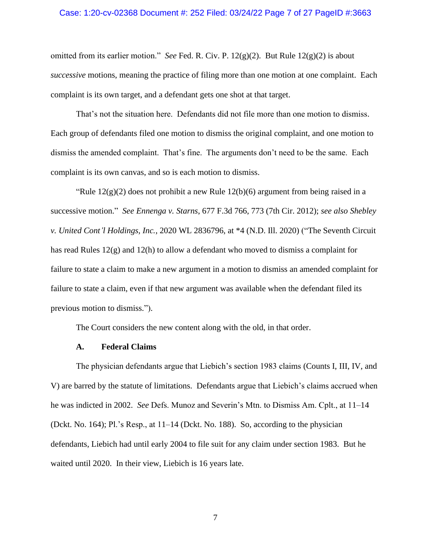### Case: 1:20-cv-02368 Document #: 252 Filed: 03/24/22 Page 7 of 27 PageID #:3663

omitted from its earlier motion." *See* Fed. R. Civ. P. 12(g)(2). But Rule 12(g)(2) is about *successive* motions, meaning the practice of filing more than one motion at one complaint. Each complaint is its own target, and a defendant gets one shot at that target.

That's not the situation here. Defendants did not file more than one motion to dismiss. Each group of defendants filed one motion to dismiss the original complaint, and one motion to dismiss the amended complaint. That's fine. The arguments don't need to be the same. Each complaint is its own canvas, and so is each motion to dismiss.

"Rule  $12(g)(2)$  does not prohibit a new Rule  $12(b)(6)$  argument from being raised in a successive motion." *See Ennenga v. Starns*, 677 F.3d 766, 773 (7th Cir. 2012); *see also Shebley v. United Cont'l Holdings, Inc.*, 2020 WL 2836796, at \*4 (N.D. Ill. 2020) ("The Seventh Circuit has read Rules 12(g) and 12(h) to allow a defendant who moved to dismiss a complaint for failure to state a claim to make a new argument in a motion to dismiss an amended complaint for failure to state a claim, even if that new argument was available when the defendant filed its previous motion to dismiss.").

The Court considers the new content along with the old, in that order.

## **A. Federal Claims**

The physician defendants argue that Liebich's section 1983 claims (Counts I, III, IV, and V) are barred by the statute of limitations. Defendants argue that Liebich's claims accrued when he was indicted in 2002. *See* Defs. Munoz and Severin's Mtn. to Dismiss Am. Cplt., at 11–14 (Dckt. No. 164); Pl.'s Resp., at 11–14 (Dckt. No. 188). So, according to the physician defendants, Liebich had until early 2004 to file suit for any claim under section 1983. But he waited until 2020. In their view, Liebich is 16 years late.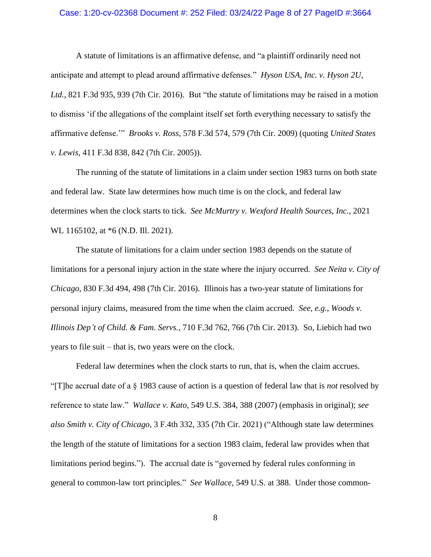### Case: 1:20-cv-02368 Document #: 252 Filed: 03/24/22 Page 8 of 27 PageID #:3664

A statute of limitations is an affirmative defense, and "a plaintiff ordinarily need not anticipate and attempt to plead around affirmative defenses." *Hyson USA, Inc. v. Hyson 2U, Ltd.*, 821 F.3d 935, 939 (7th Cir. 2016). But "the statute of limitations may be raised in a motion to dismiss 'if the allegations of the complaint itself set forth everything necessary to satisfy the affirmative defense.'" *Brooks v. Ross*, 578 F.3d 574, 579 (7th Cir. 2009) (quoting *United States v. Lewis*, 411 F.3d 838, 842 (7th Cir. 2005)).

The running of the statute of limitations in a claim under section 1983 turns on both state and federal law. State law determines how much time is on the clock, and federal law determines when the clock starts to tick. *See McMurtry v. Wexford Health Sources, Inc.*, 2021 WL 1165102, at  $*6$  (N.D. Ill. 2021).

The statute of limitations for a claim under section 1983 depends on the statute of limitations for a personal injury action in the state where the injury occurred. *See [Neita](https://1.next.westlaw.com/Link/Document/FullText?findType=Y&serNum=2039397570&pubNum=0000506&originatingDoc=Ia536e39090aa11eb81ffdaa449f774b4&refType=RP&fi=co_pp_sp_506_498&originationContext=document&transitionType=DocumentItem&ppcid=9f5f2342801742729a1dc123e4f4251a&contextData=(sc.Search)#co_pp_sp_506_498) v. City of [Chicago](https://1.next.westlaw.com/Link/Document/FullText?findType=Y&serNum=2039397570&pubNum=0000506&originatingDoc=Ia536e39090aa11eb81ffdaa449f774b4&refType=RP&fi=co_pp_sp_506_498&originationContext=document&transitionType=DocumentItem&ppcid=9f5f2342801742729a1dc123e4f4251a&contextData=(sc.Search)#co_pp_sp_506_498)*, 830 F.3d 494, 498 (7th Cir. 2016). Illinois has a two-year statute of limitations for personal injury claims, measured from the time when the claim accrued. *See, e.g.*, *Woods v. Illinois Dep't of Child. & Fam. Servs.*, 710 F.3d 762, 766 (7th Cir. 2013). So, Liebich had two years to file suit – that is, two years were on the clock.

Federal law determines when the clock starts to run, that is, when the claim accrues. "[T]he accrual date of a § 1983 cause of action is a question of federal law that is *not* resolved by reference to state law." *Wallace v. Kato*, 549 U.S. 384, 388 (2007) (emphasis in original); *see also Smith v. City of Chicago*, 3 F.4th 332, 335 (7th Cir. 2021) ("Although state law determines the length of the statute of limitations for a section 1983 claim, federal law provides when that limitations period begins."). The accrual date is "governed by federal rules conforming in general to common-law tort principles." *See Wallace*, 549 U.S. at 388. Under those common-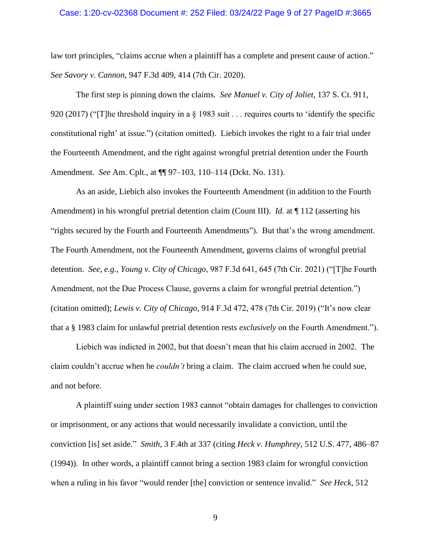### Case: 1:20-cv-02368 Document #: 252 Filed: 03/24/22 Page 9 of 27 PageID #:3665

law tort principles, "claims accrue when a plaintiff has a complete and present cause of action." *See Savory v. Cannon*, 947 F.3d 409, 414 (7th Cir. 2020).

The first step is pinning down the claims. *See Manuel v. City of Joliet*, 137 S. Ct. 911, 920 (2017) ("[T]he threshold inquiry in a § 1983 suit . . . requires courts to 'identify the specific constitutional right' at issue.") (citation omitted). Liebich invokes the right to a fair trial under the Fourteenth Amendment, and the right against wrongful pretrial detention under the Fourth Amendment. *See* Am. Cplt., at ¶¶ 97–103, 110–114 (Dckt. No. 131).

As an aside, Liebich also invokes the Fourteenth Amendment (in addition to the Fourth Amendment) in his wrongful pretrial detention claim (Count III). *Id.* at  $\P$  112 (asserting his "rights secured by the Fourth and Fourteenth Amendments"). But that's the wrong amendment. The Fourth Amendment, not the Fourteenth Amendment, governs claims of wrongful pretrial detention. *See, e.g.*, *Young v. City of Chicago*, 987 F.3d 641, 645 (7th Cir. 2021) ("[T]he Fourth Amendment, not the Due Process Clause, governs a claim for wrongful pretrial detention.") (citation omitted); *Lewis v. City of Chicago*, 914 F.3d 472, 478 (7th Cir. 2019) ("It's now clear that a § 1983 claim for unlawful pretrial detention rests *exclusively* on the Fourth Amendment.").

Liebich was indicted in 2002, but that doesn't mean that his claim accrued in 2002. The claim couldn't accrue when he *couldn't* bring a claim. The claim accrued when he could sue, and not before.

A plaintiff suing under section 1983 cannot "obtain damages for challenges to conviction or imprisonment, or any actions that would necessarily invalidate a conviction, until the conviction [is] set aside." *Smith*, 3 F.4th at 337 (citing *Heck v. Humphrey*, 512 U.S. 477, 486–87 (1994)). In other words, a plaintiff cannot bring a section 1983 claim for wrongful conviction when a ruling in his favor "would render [the] conviction or sentence invalid." *See Heck*, 512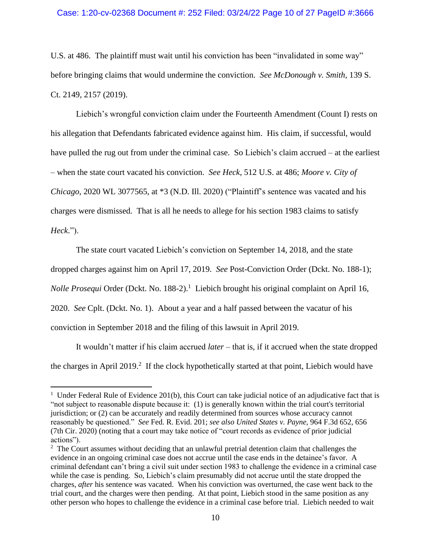## Case: 1:20-cv-02368 Document #: 252 Filed: 03/24/22 Page 10 of 27 PageID #:3666

U.S. at 486. The plaintiff must wait until his conviction has been "invalidated in some way" before bringing claims that would undermine the conviction. *See McDonough v. Smith*, 139 S. Ct. 2149, 2157 (2019).

Liebich's wrongful conviction claim under the Fourteenth Amendment (Count I) rests on his allegation that Defendants fabricated evidence against him. His claim, if successful, would have pulled the rug out from under the criminal case. So Liebich's claim accrued – at the earliest – when the state court vacated his conviction. *See Heck*, 512 U.S. at 486; *Moore v. City of Chicago*, 2020 WL 3077565, at \*3 (N.D. Ill. 2020) ("Plaintiff's sentence was vacated and his charges were dismissed. That is all he needs to allege for his section 1983 claims to satisfy *Heck*.").

The state court vacated Liebich's conviction on September 14, 2018, and the state

dropped charges against him on April 17, 2019. *See* Post-Conviction Order (Dckt. No. 188-1);

*Nolle Prosequi* Order (Dckt. No. 188-2).<sup>1</sup> Liebich brought his original complaint on April 16,

2020. *See* Cplt. (Dckt. No. 1). About a year and a half passed between the vacatur of his

conviction in September 2018 and the filing of this lawsuit in April 2019.

It wouldn't matter if his claim accrued *later* – that is, if it accrued when the state dropped the charges in April 2019.<sup>2</sup> If the clock hypothetically started at that point, Liebich would have

<sup>&</sup>lt;sup>1</sup> Under Federal Rule of Evidence 201(b), this Court can take judicial notice of an adjudicative fact that is "not subject to reasonable dispute because it: (1) is generally known within the trial court's territorial jurisdiction; or (2) can be accurately and readily determined from sources whose accuracy cannot reasonably be questioned." *See* Fed. R. Evid. 201; *see also United States v. Payne*, 964 F.3d 652, 656 (7th Cir. 2020) (noting that a court may take notice of "court records as evidence of prior judicial actions").

<sup>&</sup>lt;sup>2</sup> The Court assumes without deciding that an unlawful pretrial detention claim that challenges the evidence in an ongoing criminal case does not accrue until the case ends in the detainee's favor. A criminal defendant can't bring a civil suit under section 1983 to challenge the evidence in a criminal case while the case is pending. So, Liebich's claim presumably did not accrue until the state dropped the charges, *after* his sentence was vacated. When his conviction was overturned, the case went back to the trial court, and the charges were then pending. At that point, Liebich stood in the same position as any other person who hopes to challenge the evidence in a criminal case before trial. Liebich needed to wait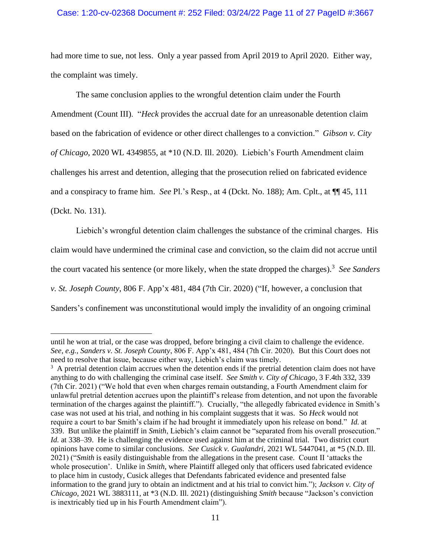## Case: 1:20-cv-02368 Document #: 252 Filed: 03/24/22 Page 11 of 27 PageID #:3667

had more time to sue, not less. Only a year passed from April 2019 to April 2020. Either way, the complaint was timely.

The same conclusion applies to the wrongful detention claim under the Fourth Amendment (Count III). "*Heck* provides the accrual date for an unreasonable detention claim based on the fabrication of evidence or other direct challenges to a conviction." *Gibson v. City of Chicago*, 2020 WL 4349855, at \*10 (N.D. Ill. 2020). Liebich's Fourth Amendment claim challenges his arrest and detention, alleging that the prosecution relied on fabricated evidence and a conspiracy to frame him. *See* Pl.'s Resp., at 4 (Dckt. No. 188); Am. Cplt., at ¶¶ 45, 111 (Dckt. No. 131).

Liebich's wrongful detention claim challenges the substance of the criminal charges. His claim would have undermined the criminal case and conviction, so the claim did not accrue until the court vacated his sentence (or more likely, when the state dropped the charges). 3 *See Sanders v. St. Joseph County*, 806 F. App'x 481, 484 (7th Cir. 2020) ("If, however, a conclusion that Sanders's confinement was unconstitutional would imply the invalidity of an ongoing criminal

until he won at trial, or the case was dropped, before bringing a civil claim to challenge the evidence. *See, e.g.*, *Sanders v. St. Joseph County*, 806 F. App'x 481, 484 (7th Cir. 2020)*.* But this Court does not need to resolve that issue, because either way, Liebich's claim was timely.

 $3 \text{ A}$  pretrial detention claim accrues when the detention ends if the pretrial detention claim does not have anything to do with challenging the criminal case itself. *See Smith v. City of Chicago*, 3 F.4th 332, 339 (7th Cir. 2021) ("We hold that even when charges remain outstanding, a Fourth Amendment claim for unlawful pretrial detention accrues upon the plaintiff's release from detention, and not upon the favorable termination of the charges against the plaintiff."). Crucially, "the allegedly fabricated evidence in Smith's case was not used at his trial, and nothing in his complaint suggests that it was. So *Heck* would not require a court to bar Smith's claim if he had brought it immediately upon his release on bond." *Id.* at 339. But unlike the plaintiff in *Smith*, Liebich's claim cannot be "separated from his overall prosecution." *Id.* at 338–39. He is challenging the evidence used against him at the criminal trial. Two district court opinions have come to similar conclusions. *See Cusick v. Gualandri*, 2021 WL 5447041, at \*5 (N.D. Ill. 2021) ("*Smith* is easily distinguishable from the allegations in the present case. Count II 'attacks the whole prosecution'. Unlike in *Smith*, where Plaintiff alleged only that officers used fabricated evidence to place him in custody, Cusick alleges that Defendants fabricated evidence and presented false information to the grand jury to obtain an indictment and at his trial to convict him."); *Jackson v. City of Chicago*, 2021 WL 3883111, at \*3 (N.D. Ill. 2021) (distinguishing *Smith* because "Jackson's conviction is inextricably tied up in his Fourth Amendment claim").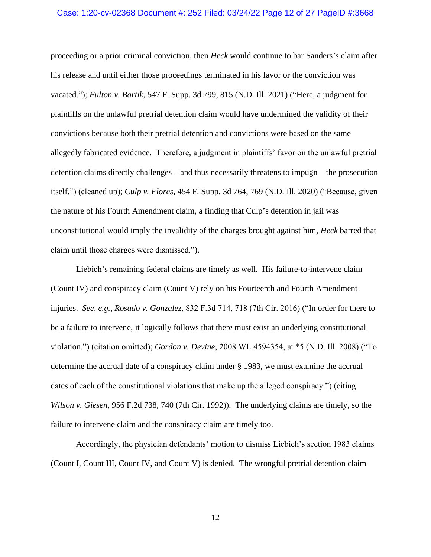# Case: 1:20-cv-02368 Document #: 252 Filed: 03/24/22 Page 12 of 27 PageID #:3668

proceeding or a prior criminal conviction, then *Heck* would continue to bar Sanders's claim after his release and until either those proceedings terminated in his favor or the conviction was vacated."); *Fulton v. Bartik*, 547 F. Supp. 3d 799, 815 (N.D. Ill. 2021) ("Here, a judgment for plaintiffs on the unlawful pretrial detention claim would have undermined the validity of their convictions because both their pretrial detention and convictions were based on the same allegedly fabricated evidence. Therefore, a judgment in plaintiffs' favor on the unlawful pretrial detention claims directly challenges – and thus necessarily threatens to impugn – the prosecution itself.") (cleaned up); *Culp v. Flores*, 454 F. Supp. 3d 764, 769 (N.D. Ill. 2020) ("Because, given the nature of his Fourth Amendment claim, a finding that Culp's detention in jail was unconstitutional would imply the invalidity of the charges brought against him, *Heck* barred that claim until those charges were dismissed.").

Liebich's remaining federal claims are timely as well. His failure-to-intervene claim (Count IV) and conspiracy claim (Count V) rely on his Fourteenth and Fourth Amendment injuries. *See, e.g.*, *Rosado v. Gonzalez*, 832 F.3d 714, 718 (7th Cir. 2016) ("In order for there to be a failure to intervene, it logically follows that there must exist an underlying constitutional violation.") (citation omitted); *Gordon v. Devine*, 2008 WL 4594354, at \*5 (N.D. Ill. 2008) ("To determine the accrual date of a conspiracy claim under § 1983, we must examine the accrual dates of each of the constitutional violations that make up the alleged conspiracy.") (citing *Wilson v. Giesen*, 956 F.2d 738, 740 (7th Cir. 1992)). The underlying claims are timely, so the failure to intervene claim and the conspiracy claim are timely too.

Accordingly, the physician defendants' motion to dismiss Liebich's section 1983 claims (Count I, Count III, Count IV, and Count V) is denied. The wrongful pretrial detention claim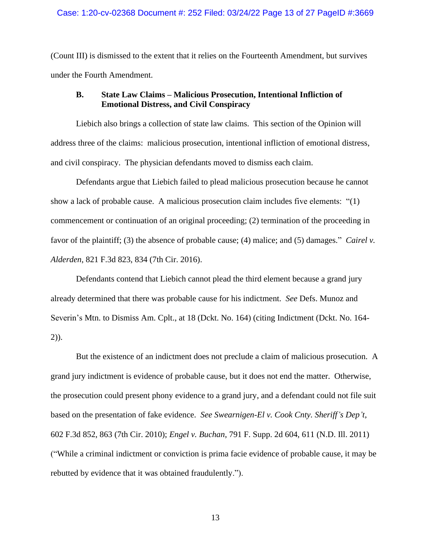## Case: 1:20-cv-02368 Document #: 252 Filed: 03/24/22 Page 13 of 27 PageID #:3669

(Count III) is dismissed to the extent that it relies on the Fourteenth Amendment, but survives under the Fourth Amendment.

# **B. State Law Claims – Malicious Prosecution, Intentional Infliction of Emotional Distress, and Civil Conspiracy**

Liebich also brings a collection of state law claims. This section of the Opinion will address three of the claims: malicious prosecution, intentional infliction of emotional distress, and civil conspiracy. The physician defendants moved to dismiss each claim.

Defendants argue that Liebich failed to plead malicious prosecution because he cannot show a lack of probable cause. A malicious prosecution claim includes five elements: "(1) commencement or continuation of an original proceeding; (2) termination of the proceeding in favor of the plaintiff; (3) the absence of probable cause; (4) malice; and (5) damages." *Cairel v. Alderden*, 821 F.3d 823, 834 (7th Cir. 2016).

Defendants contend that Liebich cannot plead the third element because a grand jury already determined that there was probable cause for his indictment. *See* Defs. Munoz and Severin's Mtn. to Dismiss Am. Cplt., at 18 (Dckt. No. 164) (citing Indictment (Dckt. No. 164- 2)).

But the existence of an indictment does not preclude a claim of malicious prosecution. A grand jury indictment is evidence of probable cause, but it does not end the matter. Otherwise, the prosecution could present phony evidence to a grand jury, and a defendant could not file suit based on the presentation of fake evidence. *See Swearnigen-El v. Cook Cnty. Sheriff's Dep't*, 602 F.3d 852, 863 (7th Cir. 2010); *Engel v. Buchan*, 791 F. Supp. 2d 604, 611 (N.D. Ill. 2011) ("While a criminal indictment or conviction is prima facie evidence of probable cause, it may be rebutted by evidence that it was obtained fraudulently.").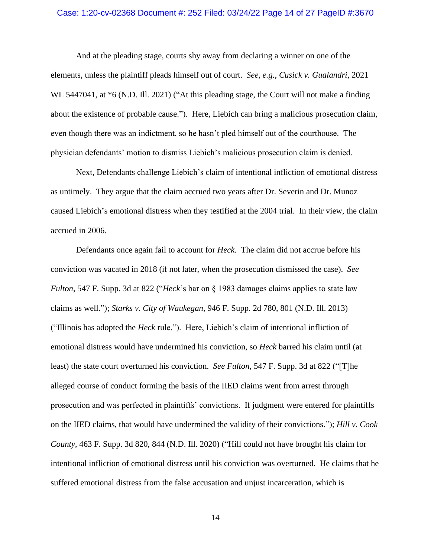## Case: 1:20-cv-02368 Document #: 252 Filed: 03/24/22 Page 14 of 27 PageID #:3670

And at the pleading stage, courts shy away from declaring a winner on one of the elements, unless the plaintiff pleads himself out of court. *See, e.g.*, *Cusick v. Gualandri*, 2021 WL 5447041, at  $*6$  (N.D. Ill. 2021) ("At this pleading stage, the Court will not make a finding about the existence of probable cause."). Here, Liebich can bring a malicious prosecution claim, even though there was an indictment, so he hasn't pled himself out of the courthouse. The physician defendants' motion to dismiss Liebich's malicious prosecution claim is denied.

Next, Defendants challenge Liebich's claim of intentional infliction of emotional distress as untimely. They argue that the claim accrued two years after Dr. Severin and Dr. Munoz caused Liebich's emotional distress when they testified at the 2004 trial. In their view, the claim accrued in 2006.

Defendants once again fail to account for *Heck*. The claim did not accrue before his conviction was vacated in 2018 (if not later, when the prosecution dismissed the case). *See Fulton*, 547 F. Supp. 3d at 822 ("*Heck*'s bar on § 1983 damages claims applies to state law claims as well."); *Starks v. City of Waukegan*, 946 F. Supp. 2d 780, 801 (N.D. Ill. 2013) ("Illinois has adopted the *Heck* rule."). Here, Liebich's claim of intentional infliction of emotional distress would have undermined his conviction, so *Heck* barred his claim until (at least) the state court overturned his conviction. *See Fulton*, 547 F. Supp. 3d at 822 ("[T]he alleged course of conduct forming the basis of the IIED claims went from arrest through prosecution and was perfected in plaintiffs' convictions. If judgment were entered for plaintiffs on the IIED claims, that would have undermined the validity of their convictions."); *Hill v. Cook County*, 463 F. Supp. 3d 820, 844 (N.D. Ill. 2020) ("Hill could not have brought his claim for intentional infliction of emotional distress until his conviction was overturned. He claims that he suffered emotional distress from the false accusation and unjust incarceration, which is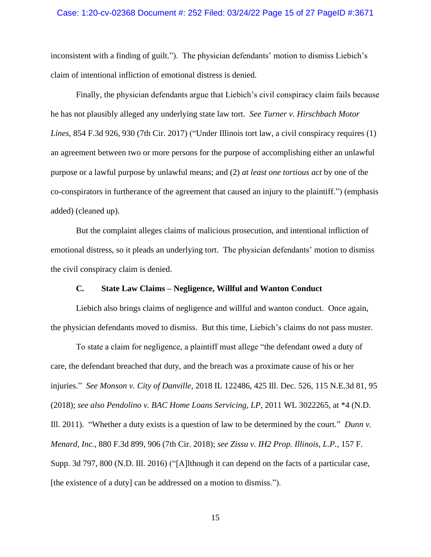# Case: 1:20-cv-02368 Document #: 252 Filed: 03/24/22 Page 15 of 27 PageID #:3671

inconsistent with a finding of guilt."). The physician defendants' motion to dismiss Liebich's claim of intentional infliction of emotional distress is denied.

Finally, the physician defendants argue that Liebich's civil conspiracy claim fails because he has not plausibly alleged any underlying state law tort. *See Turner v. Hirschbach Motor Lines*, 854 F.3d 926, 930 (7th Cir. 2017) ("Under Illinois tort law, a civil conspiracy requires (1) an agreement between two or more persons for the purpose of accomplishing either an unlawful purpose or a lawful purpose by unlawful means; and (2) *at least one tortious act* by one of the co-conspirators in furtherance of the agreement that caused an injury to the plaintiff.") (emphasis added) (cleaned up).

But the complaint alleges claims of malicious prosecution, and intentional infliction of emotional distress, so it pleads an underlying tort. The physician defendants' motion to dismiss the civil conspiracy claim is denied.

# **C. State Law Claims – Negligence, Willful and Wanton Conduct**

Liebich also brings claims of negligence and willful and wanton conduct. Once again, the physician defendants moved to dismiss. But this time, Liebich's claims do not pass muster.

To state a claim for negligence, a plaintiff must allege "the defendant owed a duty of care, the defendant breached that duty, and the breach was a proximate cause of his or her injuries." *See Monson v. City of Danville*, 2018 IL 122486, 425 Ill. Dec. 526, 115 N.E.3d 81, 95 (2018); *see also Pendolino v. BAC Home Loans Servicing, LP*, 2011 WL 3022265, at \*4 (N.D. Ill. 2011). "Whether a duty exists is a question of law to be determined by the court." *Dunn v. Menard, Inc.*, 880 F.3d 899, 906 (7th Cir. 2018); *see Zissu v. IH2 Prop. Illinois, L.P.*, 157 F. Supp. 3d 797, 800 (N.D. Ill. 2016) ("[A]lthough it can depend on the facts of a particular case, [the existence of a duty] can be addressed on a motion to dismiss.").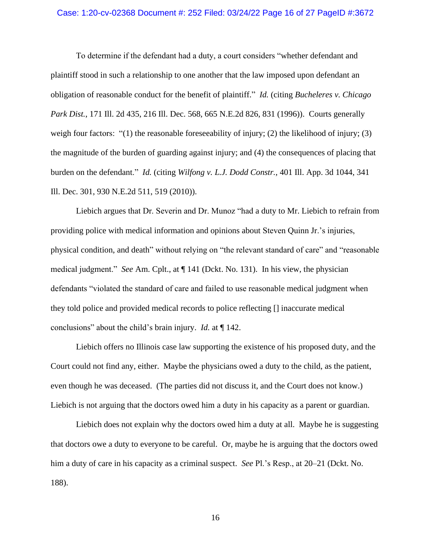## Case: 1:20-cv-02368 Document #: 252 Filed: 03/24/22 Page 16 of 27 PageID #:3672

To determine if the defendant had a duty, a court considers "whether defendant and plaintiff stood in such a relationship to one another that the law imposed upon defendant an obligation of reasonable conduct for the benefit of plaintiff." *Id.* (citing *Bucheleres v. Chicago Park Dist.*, 171 Ill. 2d 435, 216 Ill. Dec. 568, 665 N.E.2d 826, 831 (1996)). Courts generally weigh four factors: "(1) the reasonable foreseeability of injury; (2) the likelihood of injury; (3) the magnitude of the burden of guarding against injury; and (4) the consequences of placing that burden on the defendant." *Id.* (citing *Wilfong v. L.J. Dodd Constr.*, 401 Ill. App. 3d 1044, 341 Ill. Dec. 301, 930 N.E.2d 511, 519 (2010)).

Liebich argues that Dr. Severin and Dr. Munoz "had a duty to Mr. Liebich to refrain from providing police with medical information and opinions about Steven Quinn Jr.'s injuries, physical condition, and death" without relying on "the relevant standard of care" and "reasonable medical judgment." *See* Am. Cplt., at ¶ 141 (Dckt. No. 131). In his view, the physician defendants "violated the standard of care and failed to use reasonable medical judgment when they told police and provided medical records to police reflecting [] inaccurate medical conclusions" about the child's brain injury. *Id.* at ¶ 142.

Liebich offers no Illinois case law supporting the existence of his proposed duty, and the Court could not find any, either. Maybe the physicians owed a duty to the child, as the patient, even though he was deceased. (The parties did not discuss it, and the Court does not know.) Liebich is not arguing that the doctors owed him a duty in his capacity as a parent or guardian.

Liebich does not explain why the doctors owed him a duty at all. Maybe he is suggesting that doctors owe a duty to everyone to be careful. Or, maybe he is arguing that the doctors owed him a duty of care in his capacity as a criminal suspect. *See* Pl.'s Resp., at 20–21 (Dckt. No. 188).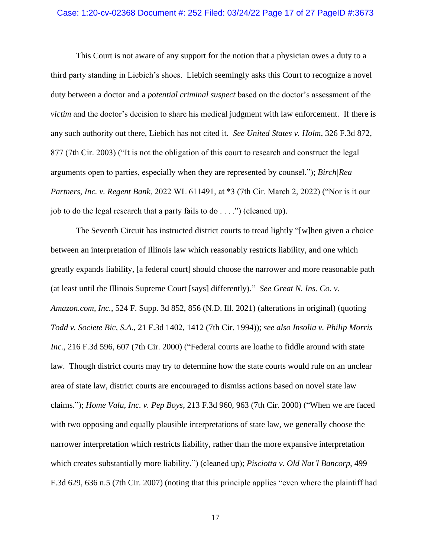### Case: 1:20-cv-02368 Document #: 252 Filed: 03/24/22 Page 17 of 27 PageID #:3673

This Court is not aware of any support for the notion that a physician owes a duty to a third party standing in Liebich's shoes. Liebich seemingly asks this Court to recognize a novel duty between a doctor and a *potential criminal suspect* based on the doctor's assessment of the *victim* and the doctor's decision to share his medical judgment with law enforcement. If there is any such authority out there, Liebich has not cited it. *See United States v. Holm*, 326 F.3d 872, 877 (7th Cir. 2003) ("It is not the obligation of this court to research and construct the legal arguments open to parties, especially when they are represented by counsel."); *Birch|Rea Partners, Inc. v. Regent Bank*, 2022 WL 611491, at \*3 (7th Cir. March 2, 2022) ("Nor is it our job to do the legal research that a party fails to do  $\dots$ .") (cleaned up).

The Seventh Circuit has instructed district courts to tread lightly "[w]hen given a choice between an interpretation of Illinois law which reasonably restricts liability, and one which greatly expands liability, [a federal court] should choose the narrower and more reasonable path (at least until the Illinois Supreme Court [says] differently)." *See Great N. Ins. Co. v. Amazon.com, Inc.*, 524 F. Supp. 3d 852, 856 (N.D. Ill. 2021) (alterations in original) (quoting *Todd v. Societe Bic, S.A.*, 21 F.3d 1402, 1412 (7th Cir. 1994)); *see also Insolia v. Philip Morris Inc.*, 216 F.3d 596, 607 (7th Cir. 2000) ("Federal courts are loathe to fiddle around with state law. Though district courts may try to determine how the state courts would rule on an unclear area of state law, district courts are encouraged to dismiss actions based on novel state law claims."); *Home Valu, Inc. v. Pep Boys*, 213 F.3d 960, 963 (7th Cir. 2000) ("When we are faced with two opposing and equally plausible interpretations of state law, we generally choose the narrower interpretation which restricts liability, rather than the more expansive interpretation which creates substantially more liability.") (cleaned up); *Pisciotta v. Old Nat'l Bancorp*, 499 F.3d 629, 636 n.5 (7th Cir. 2007) (noting that this principle applies "even where the plaintiff had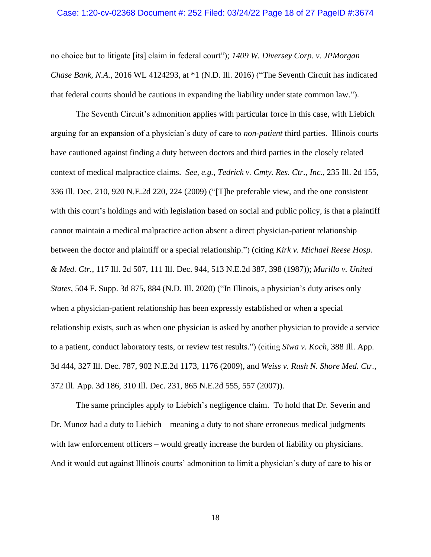## Case: 1:20-cv-02368 Document #: 252 Filed: 03/24/22 Page 18 of 27 PageID #:3674

no choice but to litigate [its] claim in federal court"); *1409 W. Diversey Corp. v. JPMorgan Chase Bank, N.A.*, 2016 WL 4124293, at \*1 (N.D. Ill. 2016) ("The Seventh Circuit has indicated that federal courts should be cautious in expanding the liability under state common law.").

The Seventh Circuit's admonition applies with particular force in this case, with Liebich arguing for an expansion of a physician's duty of care to *non-patient* third parties. Illinois courts have cautioned against finding a duty between doctors and third parties in the closely related context of medical malpractice claims. *See, e.g.*, *Tedrick v. Cmty. Res. Ctr., Inc.*, 235 Ill. 2d 155, 336 Ill. Dec. 210, 920 N.E.2d 220, 224 (2009) ("[T]he preferable view, and the one consistent with this court's holdings and with legislation based on social and public policy, is that a plaintiff cannot maintain a medical malpractice action absent a direct physician-patient relationship between the doctor and plaintiff or a special relationship.") (citing *Kirk v. Michael Reese Hosp. & Med. Ctr.*, 117 Ill. 2d 507, 111 Ill. Dec. 944, 513 N.E.2d 387, 398 (1987)); *Murillo v. United States*, 504 F. Supp. 3d 875, 884 (N.D. Ill. 2020) ("In Illinois, a physician's duty arises only when a physician-patient relationship has been expressly established or when a special relationship exists, such as when one physician is asked by another physician to provide a service to a patient, conduct laboratory tests, or review test results.") (citing *Siwa v. Koch*, 388 Ill. App. 3d 444, 327 Ill. Dec. 787, 902 N.E.2d 1173, 1176 (2009), and *Weiss v. Rush N. Shore Med. Ctr.*, 372 Ill. App. 3d 186, 310 Ill. Dec. 231, 865 N.E.2d 555, 557 (2007)).

The same principles apply to Liebich's negligence claim. To hold that Dr. Severin and Dr. Munoz had a duty to Liebich – meaning a duty to not share erroneous medical judgments with law enforcement officers – would greatly increase the burden of liability on physicians. And it would cut against Illinois courts' admonition to limit a physician's duty of care to his or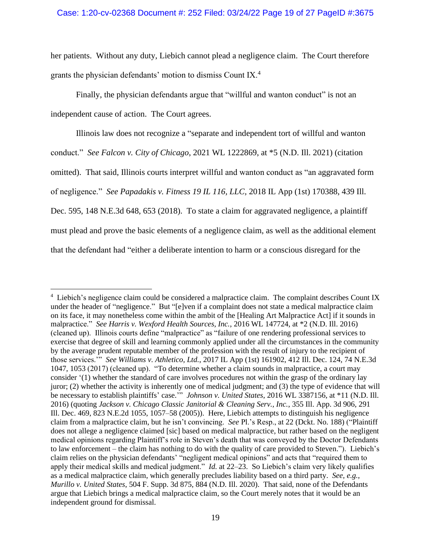her patients. Without any duty, Liebich cannot plead a negligence claim. The Court therefore grants the physician defendants' motion to dismiss Count IX.<sup>4</sup>

Finally, the physician defendants argue that "willful and wanton conduct" is not an independent cause of action. The Court agrees.

Illinois law does not recognize a "separate and independent tort of willful and wanton conduct." *See Falcon v. City of Chicago*, 2021 WL 1222869, at \*5 (N.D. Ill. 2021) (citation omitted). That said, Illinois courts interpret willful and wanton conduct as "an aggravated form of negligence." *See Papadakis v. Fitness 19 IL 116, LLC,* 2018 IL App (1st) 170388, 439 Ill. Dec. 595, 148 N.E.3d 648, 653 (2018). To state a claim for aggravated negligence, a plaintiff must plead and prove the basic elements of a negligence claim, as well as the additional element that the defendant had "either a deliberate intention to harm or a conscious disregard for the

<sup>&</sup>lt;sup>4</sup> Liebich's negligence claim could be considered a malpractice claim. The complaint describes Count IX under the header of "negligence." But "[e]ven if a complaint does not state a medical malpractice claim on its face, it may nonetheless come within the ambit of the [Healing Art Malpractice Act] if it sounds in malpractice." *See Harris v. Wexford Health Sources, Inc.*, 2016 WL 147724, at \*2 (N.D. Ill. 2016) (cleaned up). Illinois courts define "malpractice" as "failure of one rendering professional services to exercise that degree of skill and learning commonly applied under all the circumstances in the community by the average prudent reputable member of the profession with the result of injury to the recipient of those services.'" *See Williams v. Athletico, Ltd.*, 2017 IL App (1st) 161902, 412 Ill. Dec. 124, 74 N.E.3d 1047, 1053 (2017) (cleaned up). "To determine whether a claim sounds in malpractice, a court may consider '(1) whether the standard of care involves procedures not within the grasp of the ordinary lay juror; (2) whether the activity is inherently one of medical judgment; and (3) the type of evidence that will be necessary to establish plaintiffs' case.'" *Johnson v. United States*, 2016 WL 3387156, at \*11 (N.D. Ill. 2016) (quoting *Jackson v. Chicago Classic Janitorial & Cleaning Serv., Inc.*, 355 Ill. App. 3d 906, 291 Ill. Dec. 469, 823 N.E.2d 1055, 1057–58 (2005)). Here, Liebich attempts to distinguish his negligence claim from a malpractice claim, but he isn't convincing. *See* Pl.'s Resp., at 22 (Dckt. No. 188) ("Plaintiff does not allege a negligence claimed [sic] based on medical malpractice, but rather based on the negligent medical opinions regarding Plaintiff's role in Steven's death that was conveyed by the Doctor Defendants to law enforcement – the claim has nothing to do with the quality of care provided to Steven."). Liebich's claim relies on the physician defendants' "negligent medical opinions" and acts that "required them to apply their medical skills and medical judgment." *Id.* at 22–23. So Liebich's claim very likely qualifies as a medical malpractice claim, which generally precludes liability based on a third party. *See, e.g.*, *Murillo v. United States*, 504 F. Supp. 3d 875, 884 (N.D. Ill. 2020). That said, none of the Defendants argue that Liebich brings a medical malpractice claim, so the Court merely notes that it would be an independent ground for dismissal.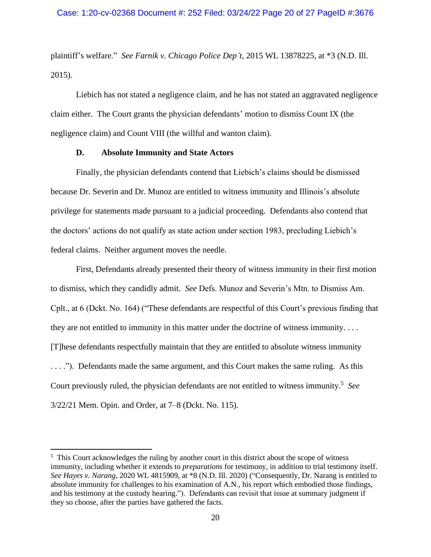plaintiff's welfare." *See Farnik v. Chicago Police Dep't*, 2015 WL 13878225, at \*3 (N.D. Ill. 2015).

Liebich has not stated a negligence claim, and he has not stated an aggravated negligence claim either. The Court grants the physician defendants' motion to dismiss Count IX (the negligence claim) and Count VIII (the willful and wanton claim).

## **D. Absolute Immunity and State Actors**

Finally, the physician defendants contend that Liebich's claims should be dismissed because Dr. Severin and Dr. Munoz are entitled to witness immunity and Illinois's absolute privilege for statements made pursuant to a judicial proceeding. Defendants also contend that the doctors' actions do not qualify as state action under section 1983, precluding Liebich's federal claims. Neither argument moves the needle.

First, Defendants already presented their theory of witness immunity in their first motion to dismiss, which they candidly admit. *See* Defs. Munoz and Severin's Mtn. to Dismiss Am. Cplt., at 6 (Dckt. No. 164) ("These defendants are respectful of this Court's previous finding that they are not entitled to immunity in this matter under the doctrine of witness immunity. . . . [T]hese defendants respectfully maintain that they are entitled to absolute witness immunity . . . ."). Defendants made the same argument, and this Court makes the same ruling. As this Court previously ruled, the physician defendants are not entitled to witness immunity.<sup>5</sup> *See*  3/22/21 Mem. Opin. and Order, at 7–8 (Dckt. No. 115).

<sup>&</sup>lt;sup>5</sup> This Court acknowledges the ruling by another court in this district about the scope of witness immunity, including whether it extends to *preparations* for testimony, in addition to trial testimony itself. *See Hayes v. Narang*, 2020 WL 4815909, at \*8 (N.D. Ill. 2020) ("Consequently, Dr. Narang is entitled to absolute immunity for challenges to his examination of A.N., his report which embodied those findings, and his testimony at the custody hearing."). Defendants can revisit that issue at summary judgment if they so choose, after the parties have gathered the facts.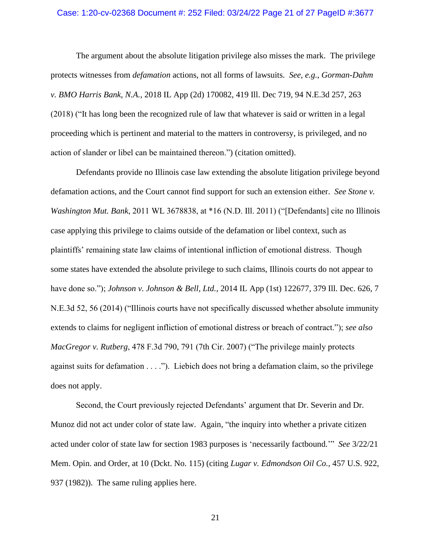## Case: 1:20-cv-02368 Document #: 252 Filed: 03/24/22 Page 21 of 27 PageID #:3677

The argument about the absolute litigation privilege also misses the mark. The privilege protects witnesses from *defamation* actions, not all forms of lawsuits. *See, e.g.*, *Gorman-Dahm v. BMO Harris Bank, N.A.*, 2018 IL App (2d) 170082, 419 Ill. Dec 719, 94 N.E.3d 257, 263 (2018) ("It has long been the recognized rule of law that whatever is said or written in a legal proceeding which is pertinent and material to the matters in controversy, is privileged, and no action of slander or libel can be maintained thereon.") (citation omitted).

Defendants provide no Illinois case law extending the absolute litigation privilege beyond defamation actions, and the Court cannot find support for such an extension either. *See Stone v. Washington Mut. Bank*, 2011 WL 3678838, at \*16 (N.D. Ill. 2011) ("[Defendants] cite no Illinois case applying this privilege to claims outside of the defamation or libel context, such as plaintiffs' remaining state law claims of intentional infliction of emotional distress. Though some states have extended the absolute privilege to such claims, Illinois courts do not appear to have done so."); *Johnson v. Johnson & Bell, Ltd.*, 2014 IL App (1st) 122677, 379 Ill. Dec. 626, 7 N.E.3d 52, 56 (2014) ("Illinois courts have not specifically discussed whether absolute immunity extends to claims for negligent infliction of emotional distress or breach of contract."); *see also MacGregor v. Rutberg*, 478 F.3d 790, 791 (7th Cir. 2007) ("The privilege mainly protects against suits for defamation  $\dots$ ."). Liebich does not bring a defamation claim, so the privilege does not apply.

Second, the Court previously rejected Defendants' argument that Dr. Severin and Dr. Munoz did not act under color of state law. Again, "the inquiry into whether a private citizen acted under color of state law for section 1983 purposes is 'necessarily factbound.'" *See* 3/22/21 Mem. Opin. and Order, at 10 (Dckt. No. 115) (citing *Lugar v. Edmondson Oil Co.*, 457 U.S. 922, 937 (1982)). The same ruling applies here.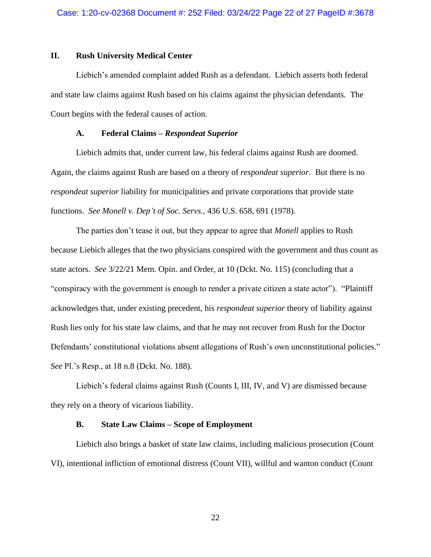# **II. Rush University Medical Center**

Liebich's amended complaint added Rush as a defendant. Liebich asserts both federal and state law claims against Rush based on his claims against the physician defendants. The Court begins with the federal causes of action.

# **A. Federal Claims –** *Respondeat Superior*

Liebich admits that, under current law, his federal claims against Rush are doomed. Again, the claims against Rush are based on a theory of *respondeat superior*. But there is no *respondeat superior* liability for municipalities and private corporations that provide state functions. *See Monell v. Dep't of Soc. Servs.*, 436 U.S. 658, 691 (1978).

The parties don't tease it out, but they appear to agree that *Monell* applies to Rush because Liebich alleges that the two physicians conspired with the government and thus count as state actors. *See* 3/22/21 Mem. Opin. and Order, at 10 (Dckt. No. 115) (concluding that a "conspiracy with the government is enough to render a private citizen a state actor"). "Plaintiff acknowledges that, under existing precedent, his *respondeat superior* theory of liability against Rush lies only for his state law claims, and that he may not recover from Rush for the Doctor Defendants' constitutional violations absent allegations of Rush's own unconstitutional policies." *See* Pl.'s Resp., at 18 n.8 (Dckt. No. 188).

Liebich's federal claims against Rush (Counts I, III, IV, and V) are dismissed because they rely on a theory of vicarious liability.

## **B. State Law Claims – Scope of Employment**

Liebich also brings a basket of state law claims, including malicious prosecution (Count VI), intentional infliction of emotional distress (Count VII), willful and wanton conduct (Count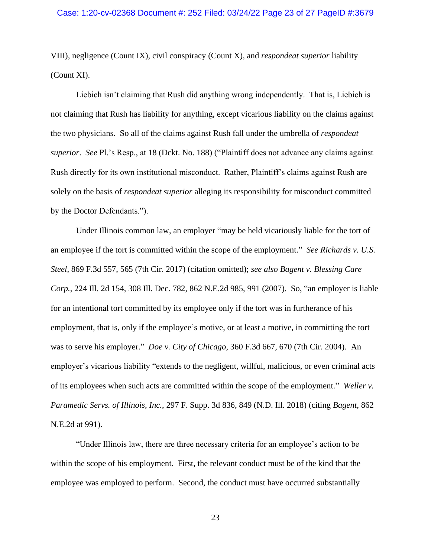VIII), negligence (Count IX), civil conspiracy (Count X), and *respondeat superior* liability (Count XI).

Liebich isn't claiming that Rush did anything wrong independently. That is, Liebich is not claiming that Rush has liability for anything, except vicarious liability on the claims against the two physicians. So all of the claims against Rush fall under the umbrella of *respondeat superior*. *See* Pl.'s Resp., at 18 (Dckt. No. 188) ("Plaintiff does not advance any claims against Rush directly for its own institutional misconduct. Rather, Plaintiff's claims against Rush are solely on the basis of *respondeat superior* alleging its responsibility for misconduct committed by the Doctor Defendants.").

Under Illinois common law, an employer "may be held vicariously liable for the tort of an employee if the tort is committed within the scope of the employment." *See Richards v. U.S. Steel*, 869 F.3d 557, 565 (7th Cir. 2017) (citation omitted); *see also Bagent v. Blessing Care Corp.*, 224 Ill. 2d 154, 308 Ill. Dec. 782, 862 N.E.2d 985, 991 (2007). So, "an employer is liable for an intentional tort committed by its employee only if the tort was in furtherance of his employment, that is, only if the employee's motive, or at least a motive, in committing the tort was to serve his employer." *Doe v. City of Chicago*, 360 F.3d 667, 670 (7th Cir. 2004). An employer's vicarious liability "extends to the negligent, willful, malicious, or even criminal acts of its employees when such acts are committed within the scope of the employment." *Weller v. Paramedic Servs. of Illinois, Inc.*, 297 F. Supp. 3d 836, 849 (N.D. Ill. 2018) (citing *Bagent*, 862 N.E.2d at 991).

"Under Illinois law, there are three necessary criteria for an employee's action to be within the scope of his employment. First, the relevant conduct must be of the kind that the employee was employed to perform. Second, the conduct must have occurred substantially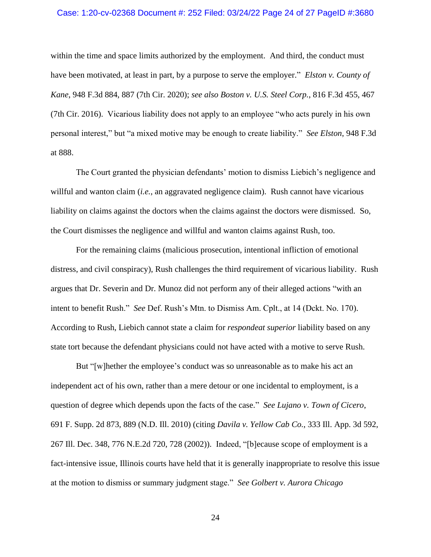## Case: 1:20-cv-02368 Document #: 252 Filed: 03/24/22 Page 24 of 27 PageID #:3680

within the time and space limits authorized by the employment. And third, the conduct must have been motivated, at least in part, by a purpose to serve the employer." *Elston v. County of Kane*, 948 F.3d 884, 887 (7th Cir. 2020); *see also Boston v. U.S. Steel Corp.*, 816 F.3d 455, 467 (7th Cir. 2016). Vicarious liability does not apply to an employee "who acts purely in his own personal interest," but "a mixed motive may be enough to create liability." *See Elston*, 948 F.3d at 888.

The Court granted the physician defendants' motion to dismiss Liebich's negligence and willful and wanton claim *(i.e.*, an aggravated negligence claim). Rush cannot have vicarious liability on claims against the doctors when the claims against the doctors were dismissed. So, the Court dismisses the negligence and willful and wanton claims against Rush, too.

For the remaining claims (malicious prosecution, intentional infliction of emotional distress, and civil conspiracy), Rush challenges the third requirement of vicarious liability. Rush argues that Dr. Severin and Dr. Munoz did not perform any of their alleged actions "with an intent to benefit Rush." *See* Def. Rush's Mtn. to Dismiss Am. Cplt., at 14 (Dckt. No. 170). According to Rush, Liebich cannot state a claim for *respondeat superior* liability based on any state tort because the defendant physicians could not have acted with a motive to serve Rush.

But "[w]hether the employee's conduct was so unreasonable as to make his act an independent act of his own, rather than a mere detour or one incidental to employment, is a question of degree which depends upon the facts of the case." *See Lujano v. Town of Cicero*, 691 F. Supp. 2d 873, 889 (N.D. Ill. 2010) (citing *Davila v. Yellow Cab Co.*, 333 Ill. App. 3d 592, 267 Ill. Dec. 348, 776 N.E.2d 720, 728 (2002)). Indeed, "[b]ecause scope of employment is a fact-intensive issue, Illinois courts have held that it is generally inappropriate to resolve this issue at the motion to dismiss or summary judgment stage." *See Golbert v. Aurora Chicago*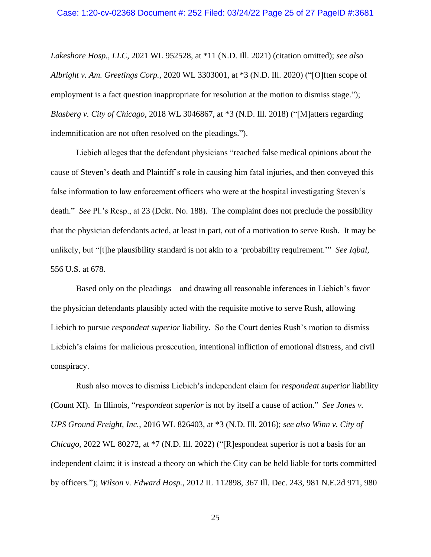*Lakeshore Hosp., LLC*, 2021 WL 952528, at \*11 (N.D. Ill. 2021) (citation omitted); *see also Albright v. Am. Greetings Corp.*, 2020 WL 3303001, at \*3 (N.D. Ill. 2020) ("[O]ften scope of employment is a fact question inappropriate for resolution at the motion to dismiss stage."); *Blasberg v. City of Chicago*, 2018 WL 3046867, at \*3 (N.D. Ill. 2018) ("[M]atters regarding indemnification are not often resolved on the pleadings.").

Liebich alleges that the defendant physicians "reached false medical opinions about the cause of Steven's death and Plaintiff's role in causing him fatal injuries, and then conveyed this false information to law enforcement officers who were at the hospital investigating Steven's death." *See* Pl.'s Resp., at 23 (Dckt. No. 188). The complaint does not preclude the possibility that the physician defendants acted, at least in part, out of a motivation to serve Rush. It may be unlikely, but "[t]he plausibility standard is not akin to a 'probability requirement.'" *See Iqbal*, 556 U.S. at 678.

Based only on the pleadings – and drawing all reasonable inferences in Liebich's favor – the physician defendants plausibly acted with the requisite motive to serve Rush, allowing Liebich to pursue *respondeat superior* liability. So the Court denies Rush's motion to dismiss Liebich's claims for malicious prosecution, intentional infliction of emotional distress, and civil conspiracy.

Rush also moves to dismiss Liebich's independent claim for *respondeat superior* liability (Count XI). In Illinois, "*respondeat superior* is not by itself a cause of action." *See Jones v. UPS Ground Freight, Inc.*, 2016 WL 826403, at \*3 (N.D. Ill. 2016); *see also Winn v. City of Chicago*, 2022 WL 80272, at \*7 (N.D. Ill. 2022) ("[R]espondeat superior is not a basis for an independent claim; it is instead a theory on which the City can be held liable for torts committed by officers."); *Wilson v. Edward Hosp.*, 2012 IL 112898, 367 Ill. Dec. 243, 981 N.E.2d 971, 980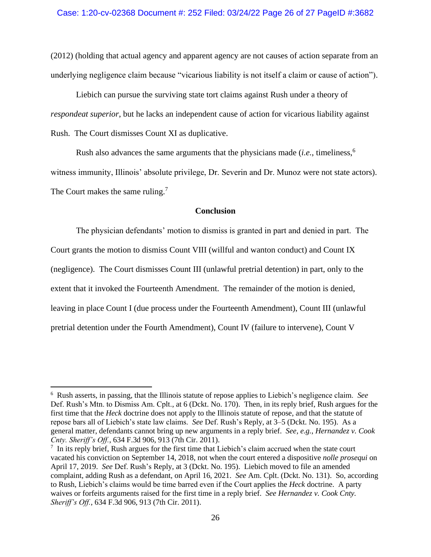(2012) (holding that actual agency and apparent agency are not causes of action separate from an underlying negligence claim because "vicarious liability is not itself a claim or cause of action").

Liebich can pursue the surviving state tort claims against Rush under a theory of *respondeat superior*, but he lacks an independent cause of action for vicarious liability against Rush. The Court dismisses Count XI as duplicative.

Rush also advances the same arguments that the physicians made (*i.e.*, timeliness,<sup>6</sup> witness immunity, Illinois' absolute privilege, Dr. Severin and Dr. Munoz were not state actors). The Court makes the same ruling.<sup>7</sup>

# **Conclusion**

The physician defendants' motion to dismiss is granted in part and denied in part. The Court grants the motion to dismiss Count VIII (willful and wanton conduct) and Count IX (negligence). The Court dismisses Count III (unlawful pretrial detention) in part, only to the extent that it invoked the Fourteenth Amendment. The remainder of the motion is denied, leaving in place Count I (due process under the Fourteenth Amendment), Count III (unlawful pretrial detention under the Fourth Amendment), Count IV (failure to intervene), Count V

<sup>6</sup> Rush asserts, in passing, that the Illinois statute of repose applies to Liebich's negligence claim. *See*  Def. Rush's Mtn. to Dismiss Am. Cplt., at 6 (Dckt. No. 170). Then, in its reply brief, Rush argues for the first time that the *Heck* doctrine does not apply to the Illinois statute of repose, and that the statute of repose bars all of Liebich's state law claims. *See* Def. Rush's Reply, at 3–5 (Dckt. No. 195). As a general matter, defendants cannot bring up new arguments in a reply brief. *See, e.g.*, *Hernandez v. Cook Cnty. Sheriff's Off.*, 634 F.3d 906, 913 (7th Cir. 2011).

<sup>&</sup>lt;sup>7</sup> In its reply brief, Rush argues for the first time that Liebich's claim accrued when the state court vacated his conviction on September 14, 2018, not when the court entered a dispositive *nolle prosequi* on April 17, 2019. *See* Def. Rush's Reply, at 3 (Dckt. No. 195). Liebich moved to file an amended complaint, adding Rush as a defendant, on April 16, 2021. *See* Am. Cplt. (Dckt. No. 131). So, according to Rush, Liebich's claims would be time barred even if the Court applies the *Heck* doctrine. A party waives or forfeits arguments raised for the first time in a reply brief. *See Hernandez v. Cook Cnty. Sheriff's Off.*, 634 F.3d 906, 913 (7th Cir. 2011).